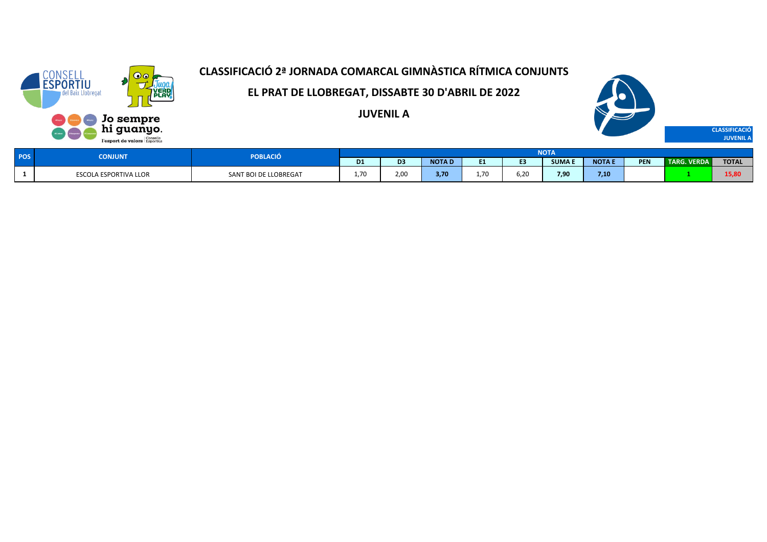

**EL PRAT DE LLOBREGAT, DISSABTE 30 D'ABRIL DE 2022**

**JUVENIL A**



| POS <sup>1</sup> | ONJUNT                       | POBLACIÓ              |                |                      |              |      |      | <b>NOTA</b>   |               |            |             |              |
|------------------|------------------------------|-----------------------|----------------|----------------------|--------------|------|------|---------------|---------------|------------|-------------|--------------|
|                  |                              |                       | D <sub>1</sub> |                      | <b>NOTAI</b> |      | en.  | <b>SUMA F</b> | <b>NOTA E</b> | <b>PEN</b> | TARG. VERDA | <b>TOTAL</b> |
|                  | <b>ESCOLA ESPORTIVA LLOR</b> | SANT BOI DE LLOBREGAT | 1.70           | $\sim$ $\sim$<br>2.U | 3.70         | 1.70 | ô.20 | 7,90          | 7,10          |            |             | 15,80        |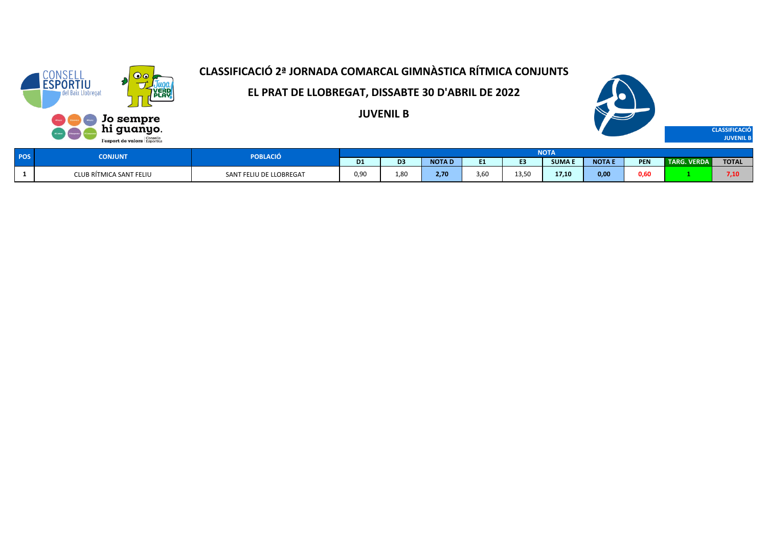

**EL PRAT DE LLOBREGAT, DISSABTE 30 D'ABRIL DE 2022**

**JUVENIL B**



| <b>DOC</b> | CONJUNT                 | POBLACIÓ                |                |                  |              |                |                 | <b>NOTA</b>   |             |            |                    |              |
|------------|-------------------------|-------------------------|----------------|------------------|--------------|----------------|-----------------|---------------|-------------|------------|--------------------|--------------|
| נטי        |                         |                         | D <sub>1</sub> | D <sub>3</sub>   | <b>NOTAD</b> |                |                 | <b>SUMA I</b> | <b>NOTA</b> | <b>PEN</b> | <b>TARG. VERDA</b> | <b>TOTAL</b> |
|            | CLUB RÍTMICA SANT FELIU | SANT FELIU DE LLOBREGAT | 0,90           | י י<br>$\pm .01$ | 2.70         | $\sim$<br>3,60 | חם בו<br>ر رد د | 17.10<br>---  | 0,00        | 0,60       |                    | 7,10         |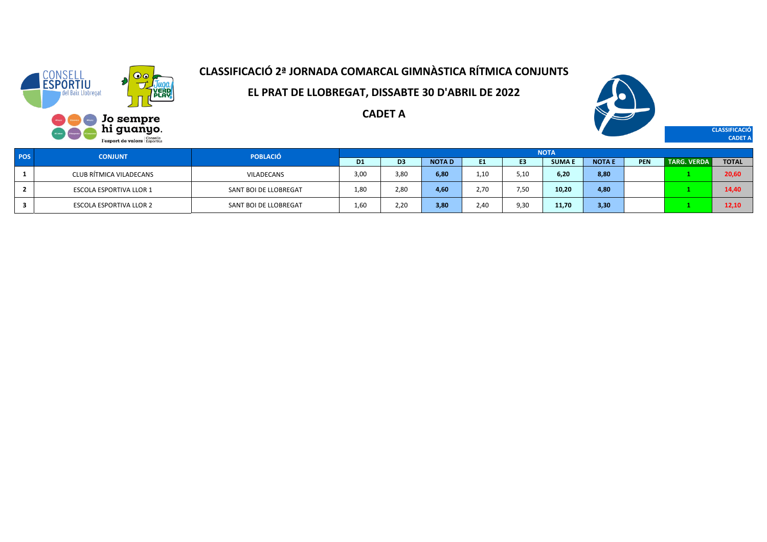

**EL PRAT DE LLOBREGAT, DISSABTE 30 D'ABRIL DE 2022**

**CADET A**



**CLASSIFICACIÓ CADET A**

| <b>POS</b> | <b>CONJUNT</b>                 | <b>POBLACIÓ</b>       |      |      |              |      |      | <b>NOTA</b>  |               |            |                    |              |
|------------|--------------------------------|-----------------------|------|------|--------------|------|------|--------------|---------------|------------|--------------------|--------------|
|            |                                |                       | D1   | D3   | <b>NOTAD</b> | E1.  | E3   | <b>SUMAE</b> | <b>NOTA E</b> | <b>PEN</b> | <b>TARG. VERDA</b> | <b>TOTAL</b> |
|            | CLUB RÍTMICA VILADECANS        | <b>VILADECANS</b>     | 3,00 | 3,80 | 6,80         | 1,10 | 5,10 | 6,20         | 8,80          |            |                    | 20,60        |
|            | ESCOLA ESPORTIVA LLOR 1        | SANT BOI DE LLOBREGAT | 1.80 | 2,80 | 4,60         | 2.70 | 7,50 | 10,20        | 4,80          |            |                    | 14,40        |
|            | <b>ESCOLA ESPORTIVA LLOR 2</b> | SANT BOI DE LLOBREGAT | 1,60 | 2,20 | 3,80         | 2,40 | 9,30 | 11,70        | 3,30          |            |                    | 12.10        |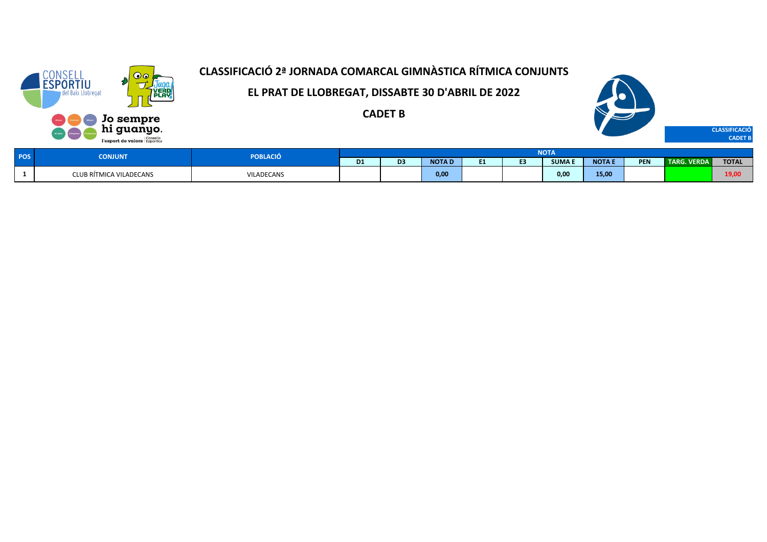

**EL PRAT DE LLOBREGAT, DISSABTE 30 D'ABRIL DE 2022**

**CADET B**



| <b>POS</b> | <b>CONJUNT</b>          | POBLACIÓ   |                |                   |              |    | <b>NOTA</b>  |             |     |                                |              |
|------------|-------------------------|------------|----------------|-------------------|--------------|----|--------------|-------------|-----|--------------------------------|--------------|
|            |                         |            | D <sub>1</sub> | <b>CONTRACTOR</b> | <b>NOTAI</b> | -- | <b>SUMAE</b> | <b>NOTA</b> | PEN | <b>VERDA</b><br><b>TARG. V</b> | <b>TOTAL</b> |
|            | CLUB RÍTMICA VILADECANS | VILADECANS |                |                   | 0,00         |    | 0,00         | 15,00       |     |                                | 19,00        |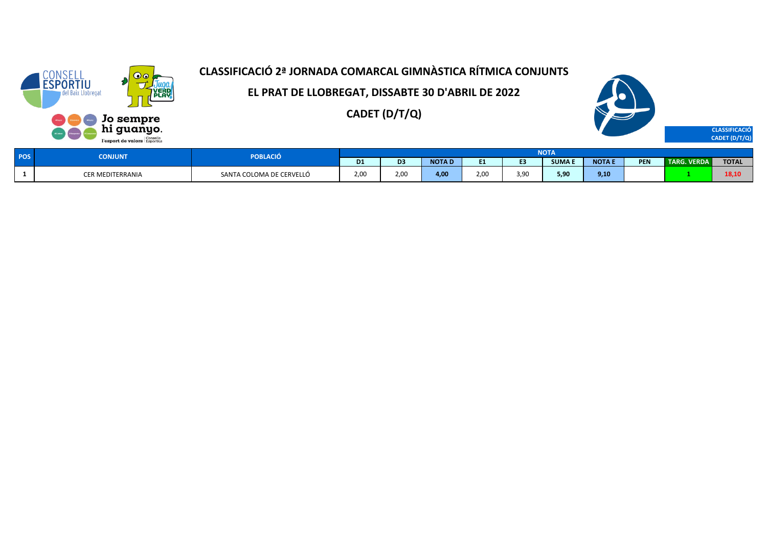

**EL PRAT DE LLOBREGAT, DISSABTE 30 D'ABRIL DE 2022**

**CADET (D/T/Q)**



| POS | <b>NJUNT</b>     | <b>PORLA</b><br>BLACIÓ   |                |               |               |      |      | $M$ $T_A$     |              |            |                      |              |
|-----|------------------|--------------------------|----------------|---------------|---------------|------|------|---------------|--------------|------------|----------------------|--------------|
|     |                  |                          | D <sub>1</sub> |               | <b>NOTA L</b> | . .  |      | <b>SUMA E</b> | <b>NOTAE</b> | <b>PEN</b> | <b>VERDA</b><br>"RG. | <b>TOTAL</b> |
|     | CER MEDITERRANIA | SANTA COLOMA DE CERVELLÓ | 2.00           | $\sim$<br>Z.U | 4.00          | 2.00 | 3,90 | 5,90          | 9,10         |            |                      | 20, P        |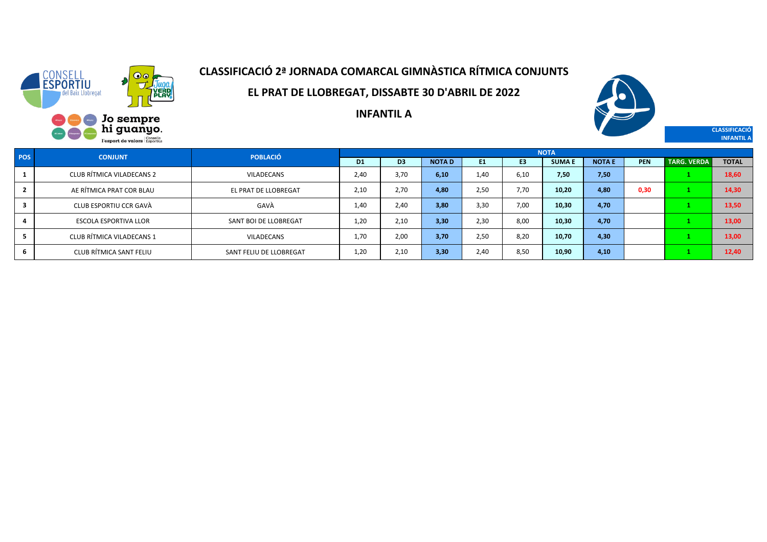

**EL PRAT DE LLOBREGAT, DISSABTE 30 D'ABRIL DE 2022**



**CLASSIFICACIÓ INFANTIL A**

**INFANTIL A**

| <b>POS</b> | <b>CONJUNT</b>               | <b>POBLACIÓ</b>         |                |                |              |      |                | <b>NOTA</b>   |               |            |                    |              |
|------------|------------------------------|-------------------------|----------------|----------------|--------------|------|----------------|---------------|---------------|------------|--------------------|--------------|
|            |                              |                         | D <sub>1</sub> | D <sub>3</sub> | <b>NOTAD</b> | E1   | E <sub>3</sub> | <b>SUMA E</b> | <b>NOTA E</b> | <b>PEN</b> | <b>TARG. VERDA</b> | <b>TOTAL</b> |
|            | CLUB RÍTMICA VILADECANS 2    | VILADECANS              | 2,40           | 3,70           | 6,10         | 1,40 | 6.10           | 7,50          | 7,50          |            |                    | 18,60        |
|            | AE RÍTMICA PRAT COR BLAU     | EL PRAT DE LLOBREGAT    | 2,10           | 2.70           | 4,80         | 2,50 | 7.70           | 10,20         | 4,80          | 0,30       |                    | 14,30        |
|            | CLUB ESPORTIU CCR GAVÀ       | GAVÀ                    | 1,40           | 2.40           | 3.80         | 3,30 | 7,00           | 10,30         | 4,70          |            |                    | 13,50        |
|            | <b>ESCOLA ESPORTIVA LLOR</b> | SANT BOI DE LLOBREGAT   | 1,20           | 2.10           | 3.30         | 2,30 | 8.00           | 10,30         | 4,70          |            |                    | 13,00        |
|            | CLUB RÍTMICA VILADECANS 1    | <b>VILADECANS</b>       | 1,70           | 2,00           | 3,70         | 2,50 | 8,20           | 10,70         | 4,30          |            |                    | 13,00        |
|            | CLUB RÍTMICA SANT FELIU      | SANT FELIU DE LLOBREGAT | 1,20           | 2,10           | 3.30         | 2,40 | 8,50           | 10,90         | 4,10          |            |                    | 12,40        |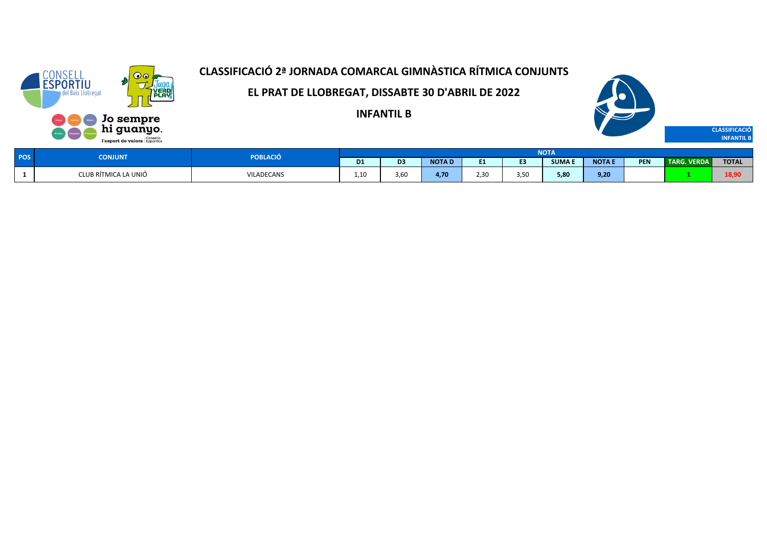

**EL PRAT DE LLOBREGAT, DISSABTE 30 D'ABRIL DE 2022**

**INFANTIL B**



| POS <sup>1</sup> | <b>CONJUNT</b>       | POBLACIÓ   |                        |                       |              |            |      | NOTA         |              |            |                     |              |
|------------------|----------------------|------------|------------------------|-----------------------|--------------|------------|------|--------------|--------------|------------|---------------------|--------------|
|                  |                      |            | D <sub>1</sub>         | D <sub>3</sub>        | <b>NOTAD</b> | - -<br>. . |      | <b>SUMAE</b> | <b>NOTAE</b> | <b>PEN</b> | <b>TARG. VERDAN</b> | <b>TOTAL</b> |
|                  | CLUB RÍTMICA LA UNIÓ | VILADECANS | $\overline{10}$<br>∸∙∸ | $\sim$ $\sim$<br>3,60 | 4.70         | 2.30       | 3,50 | 5,80         | 9,20         |            |                     | 18,90        |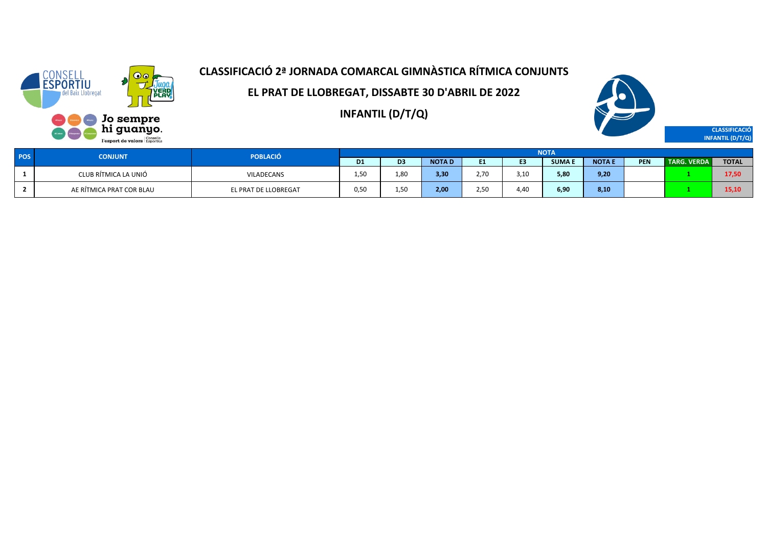

**EL PRAT DE LLOBREGAT, DISSABTE 30 D'ABRIL DE 2022**

**INFANTIL (D/T/Q)**



**CLASSIFICACIÓ INFANTIL (D/T/Q)**

| POS | <b>CONJUNT</b>           | <b>POBLACIÓ</b>      |           |                  |              |      |      | <b>NOTA</b>  |               |            |                    |              |
|-----|--------------------------|----------------------|-----------|------------------|--------------|------|------|--------------|---------------|------------|--------------------|--------------|
|     |                          |                      | <b>D1</b> | D3               | <b>NOTAD</b> | ы.   | . .  | <b>SUMAE</b> | <b>NOTA F</b> | <b>PEN</b> | <b>TARG. VERDA</b> | <b>TOTAL</b> |
|     | CLUB RÍTMICA LA UNIÓ     | VILADECANS           | 1,50      | 1,80             | 3,30         | 2.70 | 3,10 | 5,80         | 9,20          |            |                    | 17.50        |
|     | AE RÍTMICA PRAT COR BLAU | EL PRAT DE LLOBREGAT | 0.50      | 1.5 <sup>C</sup> | 2,00         | 2.50 | 4.40 | 6,90         | 8,10          |            |                    | 15.10        |

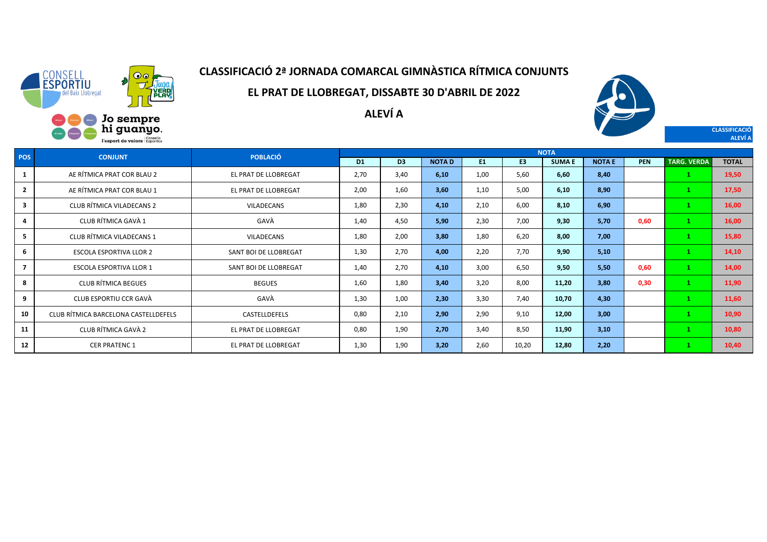

**EL PRAT DE LLOBREGAT, DISSABTE 30 D'ABRIL DE 2022**

**ALEVÍ A**



**CLASSIFICACIÓ ALEVÍ A**

| <b>POS</b>     | <b>CONJUNT</b>                       | <b>POBLACIÓ</b>       |           |                |              |                |                | <b>NOTA</b>  |               |            |                    |              |
|----------------|--------------------------------------|-----------------------|-----------|----------------|--------------|----------------|----------------|--------------|---------------|------------|--------------------|--------------|
|                |                                      |                       | <b>D1</b> | D <sub>3</sub> | <b>NOTAD</b> | E <sub>1</sub> | E <sub>3</sub> | <b>SUMAE</b> | <b>NOTA E</b> | <b>PEN</b> | <b>TARG. VERDA</b> | <b>TOTAL</b> |
| $\mathbf{1}$   | AE RÍTMICA PRAT COR BLAU 2           | EL PRAT DE LLOBREGAT  | 2,70      | 3,40           | 6,10         | 1,00           | 5,60           | 6,60         | 8,40          |            |                    | 19,50        |
| $\overline{2}$ | AE RÍTMICA PRAT COR BLAU 1           | EL PRAT DE LLOBREGAT  | 2,00      | 1,60           | 3,60         | 1,10           | 5,00           | 6,10         | 8,90          |            |                    | 17,50        |
| 3              | CLUB RÍTMICA VILADECANS 2            | VILADECANS            | 1,80      | 2,30           | 4,10         | 2,10           | 6,00           | 8,10         | 6,90          |            |                    | 16,00        |
| 4              | CLUB RÍTMICA GAVÀ 1                  | GAVÀ                  | 1,40      | 4,50           | 5,90         | 2,30           | 7,00           | 9,30         | 5,70          | 0,60       |                    | 16,00        |
| 5              | CLUB RÍTMICA VILADECANS 1            | <b>VILADECANS</b>     | 1,80      | 2,00           | 3,80         | 1,80           | 6,20           | 8,00         | 7,00          |            |                    | 15,80        |
| 6              | <b>ESCOLA ESPORTIVA LLOR 2</b>       | SANT BOI DE LLOBREGAT | 1,30      | 2,70           | 4,00         | 2,20           | 7,70           | 9,90         | 5,10          |            |                    | 14,10        |
| $\overline{7}$ | <b>ESCOLA ESPORTIVA LLOR 1</b>       | SANT BOI DE LLOBREGAT | 1,40      | 2,70           | 4,10         | 3,00           | 6,50           | 9,50         | 5,50          | 0,60       |                    | 14,00        |
| 8              | <b>CLUB RÍTMICA BEGUES</b>           | <b>BEGUES</b>         | 1,60      | 1,80           | 3,40         | 3,20           | 8,00           | 11,20        | 3,80          | 0,30       |                    | 11,90        |
| 9              | CLUB ESPORTIU CCR GAVÀ               | GAVÀ                  | 1,30      | 1,00           | 2,30         | 3,30           | 7.40           | 10,70        | 4,30          |            |                    | 11,60        |
| 10             | CLUB RÍTMICA BARCELONA CASTELLDEFELS | CASTELLDEFELS         | 0,80      | 2,10           | 2,90         | 2,90           | 9,10           | 12,00        | 3,00          |            |                    | 10,90        |
| 11             | CLUB RÍTMICA GAVÀ 2                  | EL PRAT DE LLOBREGAT  | 0,80      | 1,90           | 2,70         | 3,40           | 8,50           | 11,90        | 3,10          |            |                    | 10,80        |
| 12             | <b>CER PRATENC 1</b>                 | EL PRAT DE LLOBREGAT  | 1,30      | 1,90           | 3,20         | 2,60           | 10,20          | 12,80        | 2,20          |            |                    | 10,40        |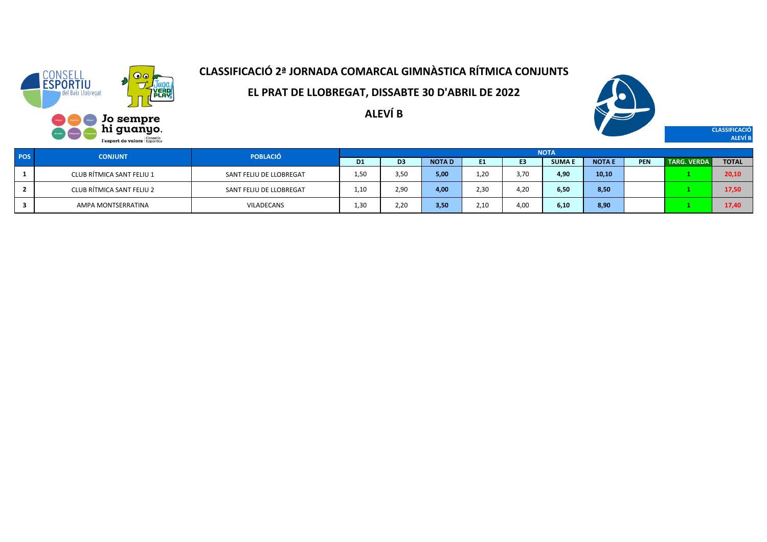

**EL PRAT DE LLOBREGAT, DISSABTE 30 D'ABRIL DE 2022**

**ALEVÍ B**



**CLASSIFICACIÓ ALEVÍ B**

| <b>POS</b> | <b>CONJUNT</b>            | <b>POBLACIÓ</b>         |                |                |              |      |      | <b>NOTA</b>   |              |            |                    |              |
|------------|---------------------------|-------------------------|----------------|----------------|--------------|------|------|---------------|--------------|------------|--------------------|--------------|
|            |                           |                         | D <sub>1</sub> | D <sub>3</sub> | <b>NOTAD</b> | E1   | E3   | <b>SUMA I</b> | <b>NOTAE</b> | <b>PEN</b> | <b>TARG. VERDA</b> | <b>TOTAL</b> |
|            | CLUB RÍTMICA SANT FELIU 1 | SANT FELIU DE LLOBREGAT | 1,50           | 3,50           | 5,00         | 1,20 | 3.70 | 4,90          | 10,10        |            |                    | 20,10        |
|            | CLUB RÍTMICA SANT FELIU 2 | SANT FELIU DE LLOBREGAT | 1,10           | 2,90           | 4.00         | 2,30 | 4.2C | 6,50          | 8,50         |            |                    | 17,50        |
|            | AMPA MONTSERRATINA        | VILADECANS              | 1,30           | 2,20           | 3,50         | 2.10 | 4,00 | 6,10          | 8,90         |            |                    | 17,40        |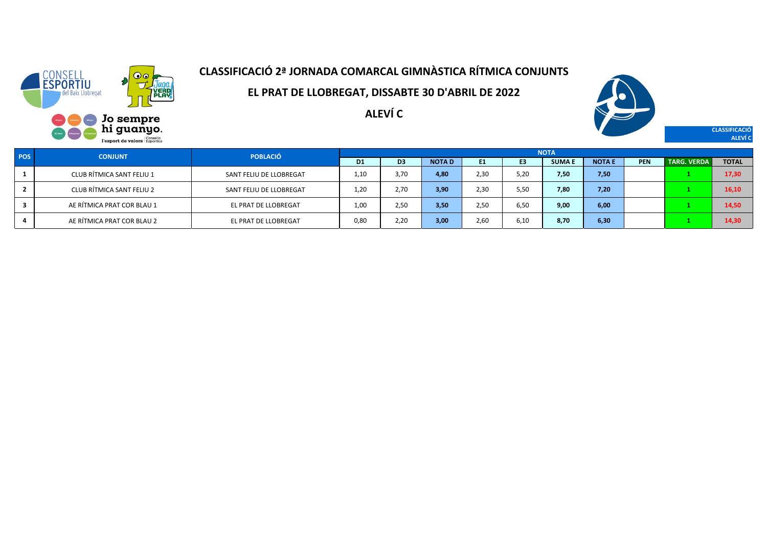

**EL PRAT DE LLOBREGAT, DISSABTE 30 D'ABRIL DE 2022**

**ALEVÍ C**



**CLASSIFICACIÓ ALEVÍ C**

| POS | <b>CONJUNT</b>             | <b>POBLACIÓ</b>         |                |                |              |           |                | <b>NOTA</b>  |              |            |                    |              |
|-----|----------------------------|-------------------------|----------------|----------------|--------------|-----------|----------------|--------------|--------------|------------|--------------------|--------------|
|     |                            |                         | D <sub>1</sub> | D <sub>3</sub> | <b>NOTAD</b> | <b>F1</b> | E <sub>3</sub> | <b>SUMAE</b> | <b>NOTAE</b> | <b>PEN</b> | <b>TARG. VERDA</b> | <b>TOTAL</b> |
|     | CLUB RÍTMICA SANT FELIU 1  | SANT FELIU DE LLOBREGAT | 1.10           | 3,70           | 4,80         | 2.30      | 5.20           | 7,50         | 7,50         |            |                    | 17,30        |
|     | CLUB RÍTMICA SANT FELIU 2  | SANT FELIU DE LLOBREGAT | 1,20           | 2,70           | 3,90         | 2,30      | 5,50           | 7,80         | 7,20         |            |                    | 16,10        |
|     | AE RÍTMICA PRAT COR BLAU 1 | EL PRAT DE LLOBREGAT    | 1,00           | 2,50           | 3,50         | 2,50      | 6,50           | 9,00         | 6,00         |            |                    | 14,50        |
|     | AE RÍTMICA PRAT COR BLAU 2 | EL PRAT DE LLOBREGAT    | 0.80           | 2,20           | 3,00         | 2,60      | 6,10           | 8,70         | 6,30         |            |                    | 14,30        |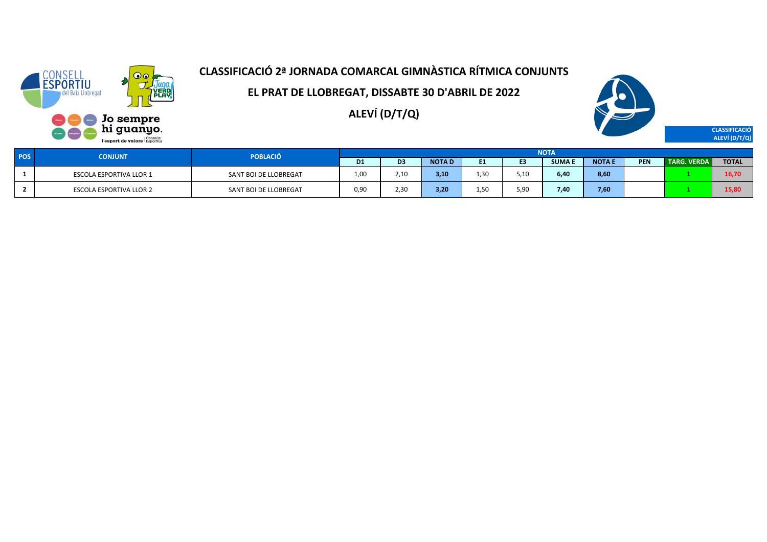

**EL PRAT DE LLOBREGAT, DISSABTE 30 D'ABRIL DE 2022**

**ALEVÍ (D/T/Q)**



**CLASSIFICACIÓ ALEVÍ (D/T/Q)**

| <b>POS</b> | <b>CONJUNT</b>                 | <b>POBLACIÓ</b>       |           |                |              |                  |              | <b>NOTA</b>   |               |            |                    |              |
|------------|--------------------------------|-----------------------|-----------|----------------|--------------|------------------|--------------|---------------|---------------|------------|--------------------|--------------|
|            |                                |                       | <b>D1</b> | D <sub>3</sub> | <b>NOTAD</b> |                  | <b>CO</b>    | <b>SUMA I</b> | <b>NOTA I</b> | <b>PEN</b> | <b>TARG. VERDA</b> | <b>TOTAL</b> |
|            | <b>ESCOLA ESPORTIVA LLOR 1</b> | SANT BOI DE LLOBREGAT | 1,00      | 2,10           | 3,10         | 1 วก             | 5,10         | 6,40          | 8,60          |            |                    | 16,70        |
|            | <b>ESCOLA ESPORTIVA LLOR 2</b> | SANT BOI DE LLOBREGAT | 0,90      | 2,30           | 3,20         | 1.5 <sub>f</sub> | 5.90<br>しょしい | 7,40          | 7,60          |            |                    | 15,80        |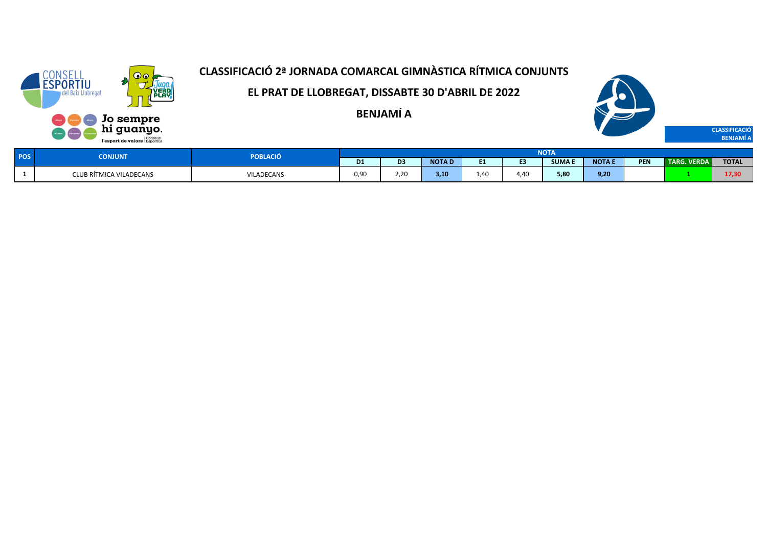

**EL PRAT DE LLOBREGAT, DISSABTE 30 D'ABRIL DE 2022**

**BENJAMÍ A**



| <b>POS</b> | <b>CONJUNT</b>          | <b>PORIA</b><br><b>BLACIO</b> | <b>NOTA</b>    |                       |              |            |      |              |               |            |                     |              |  |  |
|------------|-------------------------|-------------------------------|----------------|-----------------------|--------------|------------|------|--------------|---------------|------------|---------------------|--------------|--|--|
|            |                         |                               | D <sub>1</sub> | $-$                   | <b>NOTAD</b> | ma.<br>. . |      | <b>SUMAE</b> | <b>NOTA E</b> | <b>PEN</b> | <b>TARG. VERDAN</b> | <b>TOTAL</b> |  |  |
|            | CLUB RÍTMICA VILADECANS | VILADECANS                    | 0.9C           | $\sim$ $\sim$<br>Z.ZV | .<br>э.ц     | 1.40       | 4.40 | 5,80         | 9,20          |            |                     | 17,30        |  |  |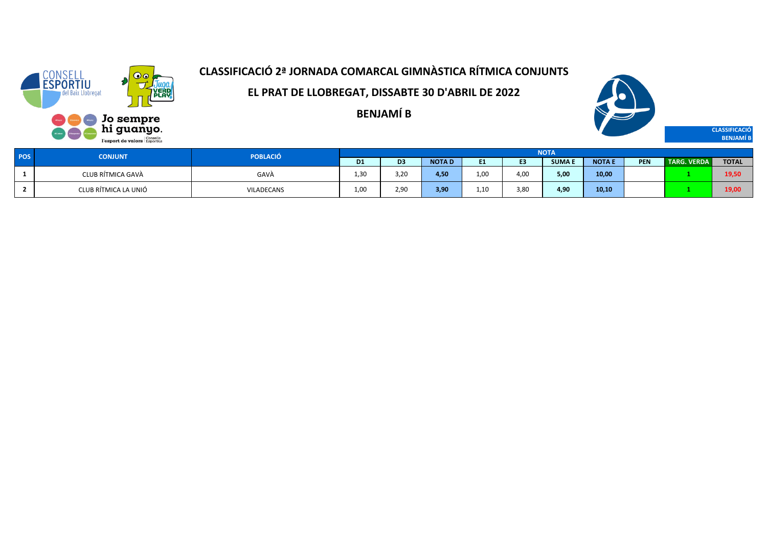

**EL PRAT DE LLOBREGAT, DISSABTE 30 D'ABRIL DE 2022**

**BENJAMÍ B**



**CLASSIFICACIÓ BENJAMÍ B**

| POS <sup>1</sup> | <b>CONJUNT</b>       | POBLACIÓ                                    | <b>NOTA</b>    |                |              |           |                |              |               |            |                    |              |  |
|------------------|----------------------|---------------------------------------------|----------------|----------------|--------------|-----------|----------------|--------------|---------------|------------|--------------------|--------------|--|
|                  |                      |                                             | D <sub>1</sub> | D <sub>3</sub> | <b>NOTAD</b> | E4<br>. . | E <sub>3</sub> | <b>SUMAE</b> | <b>NOTA E</b> | <b>PEN</b> | <b>TARG. VERDA</b> | <b>TOTAL</b> |  |
|                  | CLUB RÍTMICA GAVÀ    | GAVÀ<br>the contract of the contract of the | - 3∩<br>. ت    | 3,20           | 4,50         | 1,00      | 4,00           | 5,00         | 10,00         |            |                    | 19,50        |  |
|                  | CLUB RÍTMICA LA UNIÓ | VILADECANS                                  | 1,00           | 2,90           | 3,90         | 1,10      | 3,80           | 4,90         | 10,10         |            |                    | 19,00        |  |

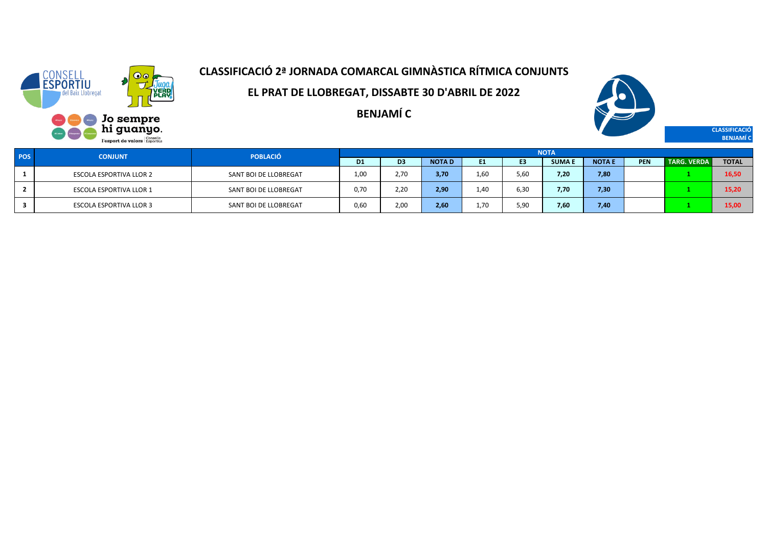

**EL PRAT DE LLOBREGAT, DISSABTE 30 D'ABRIL DE 2022**

**BENJAMÍ C**



**CLASSIFICACIÓ BENJAMÍ C**

| <b>POS</b> | <b>CONJUNT</b>                 | <b>POBLACIÓ</b>       | <b>NOTA</b>    |                |              |      |      |              |              |            |                    |              |  |  |
|------------|--------------------------------|-----------------------|----------------|----------------|--------------|------|------|--------------|--------------|------------|--------------------|--------------|--|--|
|            |                                |                       | D <sub>1</sub> | D <sub>3</sub> | <b>NOTAD</b> | E1   | E3   | <b>SUMAE</b> | <b>NOTAE</b> | <b>PEN</b> | <b>TARG. VERDA</b> | <b>TOTAL</b> |  |  |
|            | ESCOLA ESPORTIVA LLOR 2        | SANT BOI DE LLOBREGAT | 1.00           | 2,70           | 3,70         | 1.60 | 5.6C | 7,20         | 7,80         |            |                    | 16,50        |  |  |
|            | <b>ESCOLA ESPORTIVA LLOR 1</b> | SANT BOI DE LLOBREGAT | 0.70           | 2,20           | 2,90         | 1.40 | 6,30 | 7,70         | 7,30         |            |                    | 15,20        |  |  |
|            | <b>ESCOLA ESPORTIVA LLOR 3</b> | SANT BOI DE LLOBREGAT | 0,60           | 2,00           | 2,60         | 1.70 | 5,9  | 7,60         | 7,40         |            |                    | 15,00        |  |  |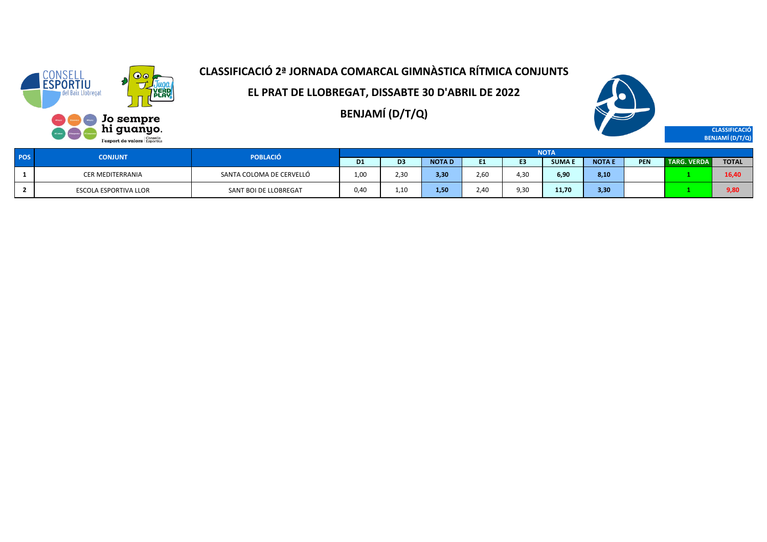

**EL PRAT DE LLOBREGAT, DISSABTE 30 D'ABRIL DE 2022**

**BENJAMÍ (D/T/Q)**



**CLASSIFICACIÓ BENJAMÍ (D/T/Q)**

| <b>POS</b> | <b>CONJUNT</b>        | <b>POBLACIÓ</b>          | <b>NOTA</b>    |                |              |           |                |        |               |            |                    |              |  |  |
|------------|-----------------------|--------------------------|----------------|----------------|--------------|-----------|----------------|--------|---------------|------------|--------------------|--------------|--|--|
|            |                       |                          | D <sub>1</sub> | D <sub>3</sub> | <b>NOTAD</b> | <b>E1</b> | E <sub>3</sub> | SUMA F | <b>NOTA E</b> | <b>PEN</b> | <b>TARG. VERDA</b> | <b>TOTAL</b> |  |  |
|            | CER MEDITERRANIA      | SANTA COLOMA DE CERVELLÓ | 1,00           | 2,30           | 3,30         | 2.60      | 4.30           | 6,90   | 8,10          |            |                    | 16,40        |  |  |
|            | ESCOLA ESPORTIVA LLOR | SANT BOI DE LLOBREGAT    | 0.40           | 1,10           | 1,50         | 2.40      | 9,30           | 11,70  | 3,30          |            |                    | 9,80         |  |  |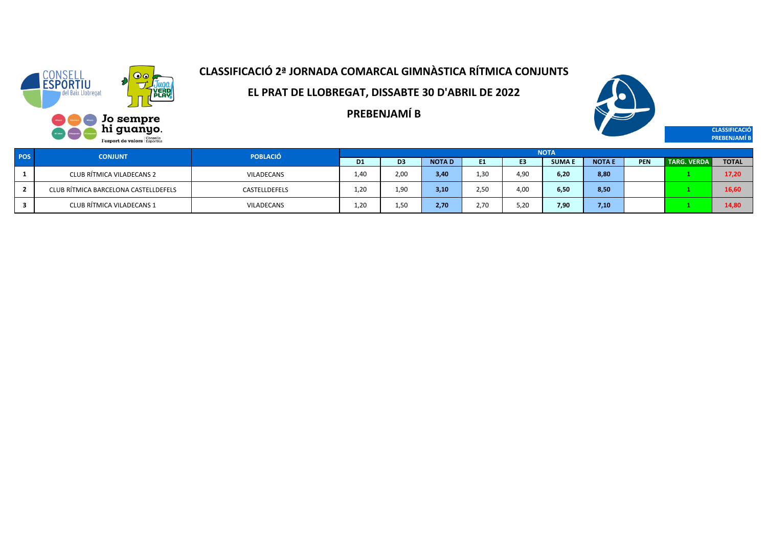

**EL PRAT DE LLOBREGAT, DISSABTE 30 D'ABRIL DE 2022**

**PREBENJAMÍ B**



**CLASSIFICACIÓ PREBENJAMÍ B**

| <b>POS</b> | <b>CONJUNT</b>                       | <b>POBLACIÓ</b>   | <b>NOTA</b> |                |              |           |                |              |              |     |                      |              |  |  |
|------------|--------------------------------------|-------------------|-------------|----------------|--------------|-----------|----------------|--------------|--------------|-----|----------------------|--------------|--|--|
|            |                                      |                   | D1          | D <sub>3</sub> | <b>NOTAD</b> | <b>E1</b> | E <sub>3</sub> | <b>SUMAE</b> | <b>NOTAE</b> | PEN | <b>TARG. VERDA  </b> | <b>TOTAL</b> |  |  |
|            | CLUB RÍTMICA VILADECANS 2            | <b>VILADECANS</b> | 1.40        | 2,00           | 3,40         | 1.30      | 4.90           | 6.20         | 8,80         |     |                      | 17,20        |  |  |
|            | CLUB RÍTMICA BARCELONA CASTELLDEFELS | CASTELLDEFELS     | 1.20        | 1.90           | 3,10         | 2.50      | 4.00           | 6.50         | 8,50         |     |                      | 16,60        |  |  |
|            | CLUB RÍTMICA VILADECANS 1            | <b>VILADECANS</b> | 1,20        | 1,50           | 2,70         | 2.70      | 5,20           | 7.90         | 7,10         |     |                      | 14,80        |  |  |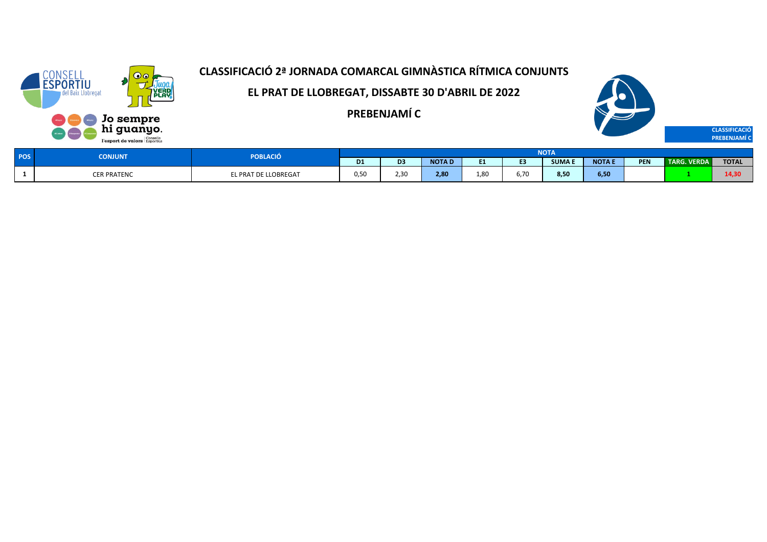

**EL PRAT DE LLOBREGAT, DISSABTE 30 D'ABRIL DE 2022**

**PREBENJAMÍ C**



| <b>POS</b> | <b>CONJUNT</b>     | POBLACIÓ                    | <b>NOTA</b>    |                       |              |         |      |              |              |            |                              |              |  |  |
|------------|--------------------|-----------------------------|----------------|-----------------------|--------------|---------|------|--------------|--------------|------------|------------------------------|--------------|--|--|
|            |                    |                             | D <sub>1</sub> | D <sub>3</sub>        | <b>NOTAD</b> | - -<br> | . .  | <b>SUMAE</b> | <b>NOTAE</b> | <b>PEN</b> | <b>VERDA</b><br><b>TARG.</b> | <b>TOTAL</b> |  |  |
|            | <b>CER PRATENC</b> | <b>EL PRAT DE LLOBREGAT</b> | 0,50           | $\sim$ $\sim$<br>2,3U | 2,80         | 1,80    | 6,70 | 8,50         | 6,50         |            |                              | .<br>14,31   |  |  |